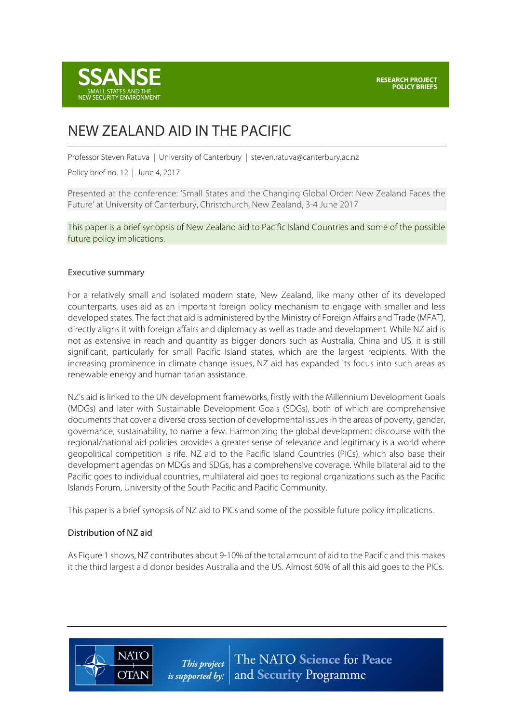

# NEW ZEALAND AID IN THE PACIFIC

Professor Steven Ratuva | University of Canterbury | steven.ratuva@canterbury.ac.nz

Policy brief no. 12 | June 4, 2017

Presented at the conference: 'Small States and the Changing Global Order: New Zealand Faces the Future' at University of Canterbury, Christchurch, New Zealand, 3-4 June 2017

This paper is a brief synopsis of New Zealand aid to Pacific Island Countries and some of the possible future policy implications.

#### Executive summary

For a relatively small and isolated modern state, New Zealand, like many other of its developed counterparts, uses aid as an important foreign policy mechanism to engage with smaller and less developed states. The fact that aid is administered by the Ministry of Foreign Affairs and Trade (MFAT), directly aligns it with foreign affairs and diplomacy as well as trade and development. While NZ aid is not as extensive in reach and quantity as bigger donors such as Australia, China and US, it is still significant, particularly for small Pacific Island states, which are the largest recipients. With the increasing prominence in climate change issues, NZ aid has expanded its focus into such areas as renewable energy and humanitarian assistance.

NZ's aid is linked to the UN development frameworks, firstly with the Millennium Development Goals (MDGs) and later with Sustainable Development Goals (SDGs), both of which are comprehensive documents that cover a diverse cross section of developmental issues in the areas of poverty, gender, governance, sustainability, to name a few. Harmonizing the global development discourse with the regional/national aid policies provides a greater sense of relevance and legitimacy is a world where geopolitical competition is rife. NZ aid to the Pacific Island Countries (PICs), which also base their development agendas on MDGs and SDGs, has a comprehensive coverage. While bilateral aid to the Pacific goes to individual countries, multilateral aid goes to regional organizations such as the Pacific Islands Forum, University of the South Pacific and Pacific Community.

This paper is a brief synopsis of NZ aid to PICs and some of the possible future policy implications.

#### Distribution of NZ aid

As Figure 1 shows, NZ contributes about 9-10% of the total amount of aid to the Pacific and this makes it the third largest aid donor besides Australia and the US. Almost 60% of all this aid goes to the PICs.



The NATO Science for Peace This project *is supported by:*  $|$  and Security Programme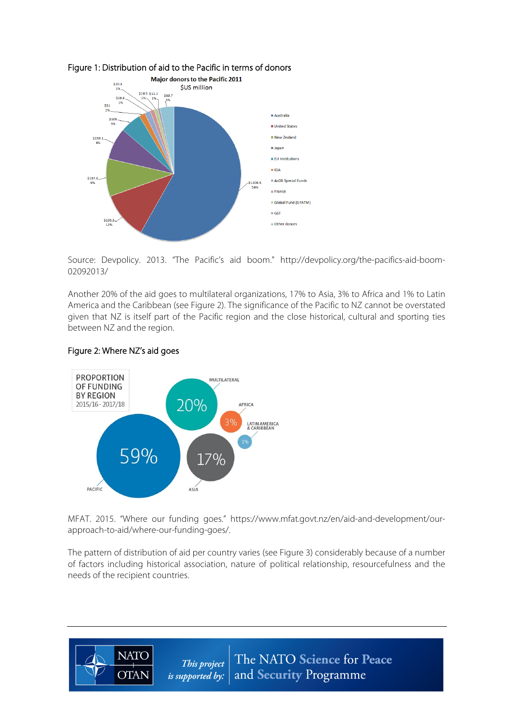

#### Figure 1: Distribution of aid to the Pacific in terms of donors

 Source: Devpolicy. 2013. "The Pacific's aid boom." http://devpolicy.org/the-pacifics-aid-boom-02092013/

Another 20% of the aid goes to multilateral organizations, 17% to Asia, 3% to Africa and 1% to Latin America and the Caribbean (see Figure 2). The significance of the Pacific to NZ cannot be overstated given that NZ is itself part of the Pacific region and the close historical, cultural and sporting ties between NZ and the region.

#### Figure 2: Where NZ's aid goes

**NATO** 

**OTAN** 



MFAT. 2015. "Where our funding goes." https://www.mfat.govt.nz/en/aid-and-development/ourapproach-to-aid/where-our-funding-goes/.

The pattern of distribution of aid per country varies (see Figure 3) considerably because of a number of factors including historical association, nature of political relationship, resourcefulness and the needs of the recipient countries.

> The NATO Science for Peace This project and Security Programme is supported by: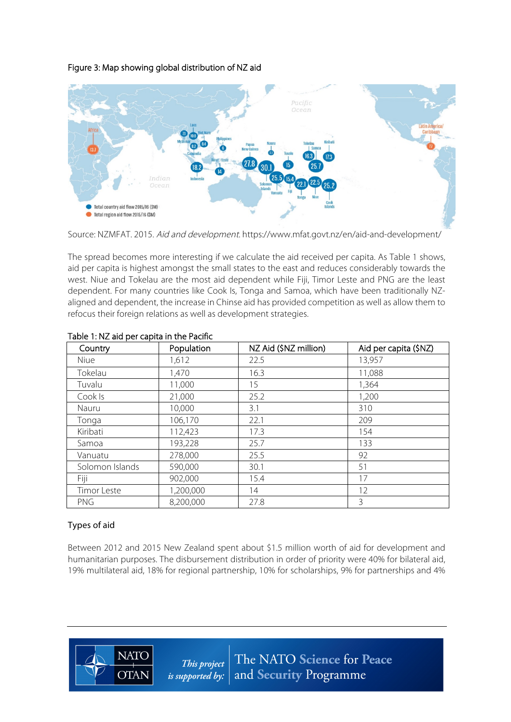### Figure 3: Map showing global distribution of NZ aid



Source: NZMFAT. 2015. Aid and development. https://www.mfat.govt.nz/en/aid-and-development/

The spread becomes more interesting if we calculate the aid received per capita. As Table 1 shows, aid per capita is highest amongst the small states to the east and reduces considerably towards the west. Niue and Tokelau are the most aid dependent while Fiji, Timor Leste and PNG are the least dependent. For many countries like Cook Is, Tonga and Samoa, which have been traditionally NZaligned and dependent, the increase in Chinse aid has provided competition as well as allow them to refocus their foreign relations as well as development strategies.

| Country         | Population | NZ Aid (\$NZ million) | Aid per capita (\$NZ) |
|-----------------|------------|-----------------------|-----------------------|
| Niue            | 1,612      | 22.5                  | 13,957                |
| Tokelau         | 1,470      | 16.3                  | 11,088                |
| Tuvalu          | 11,000     | 15                    | 1,364                 |
| Cook Is         | 21,000     | 25.2                  | 1,200                 |
| Nauru           | 10,000     | 3.1                   | 310                   |
| Tonga           | 106,170    | 22.1                  | 209                   |
| Kiribati        | 112,423    | 17.3                  | 154                   |
| Samoa           | 193,228    | 25.7                  | 133                   |
| Vanuatu         | 278,000    | 25.5                  | 92                    |
| Solomon Islands | 590,000    | 30.1                  | 51                    |
| Fiji            | 902,000    | 15.4                  | 17                    |
| Timor Leste     | 1,200,000  | 14                    | 12                    |
| <b>PNG</b>      | 8,200,000  | 27.8                  | 3                     |

#### Table 1: NZ aid per capita in the Pacific

## Types of aid

Between 2012 and 2015 New Zealand spent about \$1.5 million worth of aid for development and humanitarian purposes. The disbursement distribution in order of priority were 40% for bilateral aid, 19% multilateral aid, 18% for regional partnership, 10% for scholarships, 9% for partnerships and 4%

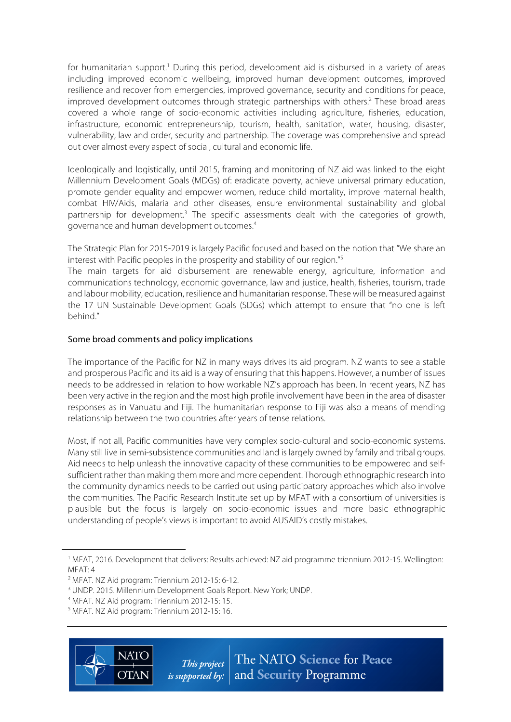for humanitarian support.<sup>1</sup> During this period, development aid is disbursed in a variety of areas including improved economic wellbeing, improved human development outcomes, improved resilience and recover from emergencies, improved governance, security and conditions for peace, improved development outcomes through strategic partnerships with others.<sup>2</sup> These broad areas covered a whole range of socio-economic activities including agriculture, fisheries, education, infrastructure, economic entrepreneurship, tourism, health, sanitation, water, housing, disaster, vulnerability, law and order, security and partnership. The coverage was comprehensive and spread out over almost every aspect of social, cultural and economic life.

Ideologically and logistically, until 2015, framing and monitoring of NZ aid was linked to the eight Millennium Development Goals (MDGs) of: eradicate poverty, achieve universal primary education, promote gender equality and empower women, reduce child mortality, improve maternal health, combat HIV/Aids, malaria and other diseases, ensure environmental sustainability and global partnership for development.<sup>3</sup> The specific assessments dealt with the categories of growth, governance and human development outcomes.4

The Strategic Plan for 2015-2019 is largely Pacific focused and based on the notion that "We share an interest with Pacific peoples in the prosperity and stability of our region."5

The main targets for aid disbursement are renewable energy, agriculture, information and communications technology, economic governance, law and justice, health, fisheries, tourism, trade and labour mobility, education, resilience and humanitarian response. These will be measured against the 17 UN Sustainable Development Goals (SDGs) which attempt to ensure that "no one is left behind."

#### Some broad comments and policy implications

The importance of the Pacific for NZ in many ways drives its aid program. NZ wants to see a stable and prosperous Pacific and its aid is a way of ensuring that this happens. However, a number of issues needs to be addressed in relation to how workable NZ's approach has been. In recent years, NZ has been very active in the region and the most high profile involvement have been in the area of disaster responses as in Vanuatu and Fiji. The humanitarian response to Fiji was also a means of mending relationship between the two countries after years of tense relations.

Most, if not all, Pacific communities have very complex socio-cultural and socio-economic systems. Many still live in semi-subsistence communities and land is largely owned by family and tribal groups. Aid needs to help unleash the innovative capacity of these communities to be empowered and selfsufficient rather than making them more and more dependent. Thorough ethnographic research into the community dynamics needs to be carried out using participatory approaches which also involve the communities. The Pacific Research Institute set up by MFAT with a consortium of universities is plausible but the focus is largely on socio-economic issues and more basic ethnographic understanding of people's views is important to avoid AUSAID's costly mistakes.

<sup>&</sup>lt;sup>4</sup> MFAT. NZ Aid program: Triennium 2012-15: 15.<br><sup>5</sup> MFAT. NZ Aid program: Triennium 2012-15: 16.



 $\overline{a}$ 

<sup>1</sup> MFAT, 2016. Development that delivers: Results achieved: NZ aid programme triennium 2012-15. Wellington: MFAT: 4

<sup>&</sup>lt;sup>2</sup> MFAT. NZ Aid program: Triennium 2012-15: 6-12.<br><sup>3</sup> UNDP. 2015. Millennium Development Goals Report. New York; UNDP.